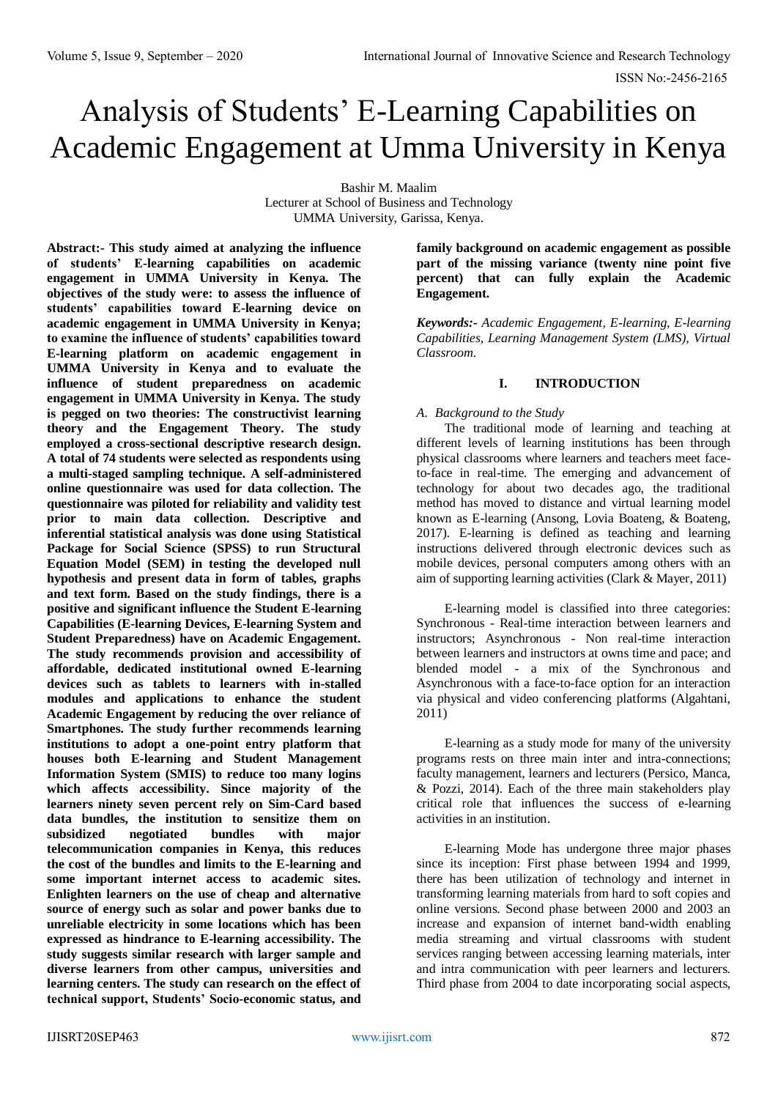# Analysis of Students' E-Learning Capabilities on Academic Engagement at Umma University in Kenya

Bashir M. Maalim

Lecturer at School of Business and Technology UMMA University, Garissa, Kenya.

**Abstract:- This study aimed at analyzing the influence of students' E-learning capabilities on academic engagement in UMMA University in Kenya. The objectives of the study were: to assess the influence of students' capabilities toward E-learning device on academic engagement in UMMA University in Kenya; to examine the influence of students' capabilities toward E-learning platform on academic engagement in UMMA University in Kenya and to evaluate the influence of student preparedness on academic engagement in UMMA University in Kenya. The study is pegged on two theories: The constructivist learning theory and the Engagement Theory. The study employed a cross-sectional descriptive research design. A total of 74 students were selected as respondents using a multi-staged sampling technique. A self-administered online questionnaire was used for data collection. The questionnaire was piloted for reliability and validity test prior to main data collection. Descriptive and inferential statistical analysis was done using Statistical Package for Social Science (SPSS) to run Structural Equation Model (SEM) in testing the developed null hypothesis and present data in form of tables, graphs and text form. Based on the study findings, there is a positive and significant influence the Student E-learning Capabilities (E-learning Devices, E-learning System and Student Preparedness) have on Academic Engagement. The study recommends provision and accessibility of affordable, dedicated institutional owned E-learning devices such as tablets to learners with in-stalled modules and applications to enhance the student Academic Engagement by reducing the over reliance of Smartphones. The study further recommends learning institutions to adopt a one-point entry platform that houses both E-learning and Student Management Information System (SMIS) to reduce too many logins which affects accessibility. Since majority of the learners ninety seven percent rely on Sim-Card based data bundles, the institution to sensitize them on subsidized negotiated bundles with major telecommunication companies in Kenya, this reduces the cost of the bundles and limits to the E-learning and some important internet access to academic sites. Enlighten learners on the use of cheap and alternative source of energy such as solar and power banks due to unreliable electricity in some locations which has been expressed as hindrance to E-learning accessibility. The study suggests similar research with larger sample and diverse learners from other campus, universities and learning centers. The study can research on the effect of technical support, Students' Socio-economic status, and** 

**family background on academic engagement as possible part of the missing variance (twenty nine point five percent) that can fully explain the Academic Engagement.** 

*Keywords:- Academic Engagement, E-learning, E-learning Capabilities, Learning Management System (LMS), Virtual Classroom.*

# **I. INTRODUCTION**

#### *A. Background to the Study*

The traditional mode of learning and teaching at different levels of learning institutions has been through physical classrooms where learners and teachers meet faceto-face in real-time. The emerging and advancement of technology for about two decades ago, the traditional method has moved to distance and virtual learning model known as E-learning (Ansong, Lovia Boateng, & Boateng, 2017). E-learning is defined as teaching and learning instructions delivered through electronic devices such as mobile devices, personal computers among others with an aim of supporting learning activities (Clark & Mayer, 2011)

E-learning model is classified into three categories: Synchronous - Real-time interaction between learners and instructors; Asynchronous - Non real-time interaction between learners and instructors at owns time and pace; and blended model - a mix of the Synchronous and Asynchronous with a face-to-face option for an interaction via physical and video conferencing platforms (Algahtani, 2011)

E-learning as a study mode for many of the university programs rests on three main inter and intra-connections; faculty management, learners and lecturers (Persico, Manca, & Pozzi, 2014). Each of the three main stakeholders play critical role that influences the success of e-learning activities in an institution.

E-learning Mode has undergone three major phases since its inception: First phase between 1994 and 1999, there has been utilization of technology and internet in transforming learning materials from hard to soft copies and online versions. Second phase between 2000 and 2003 an increase and expansion of internet band-width enabling media streaming and virtual classrooms with student services ranging between accessing learning materials, inter and intra communication with peer learners and lecturers. Third phase from 2004 to date incorporating social aspects,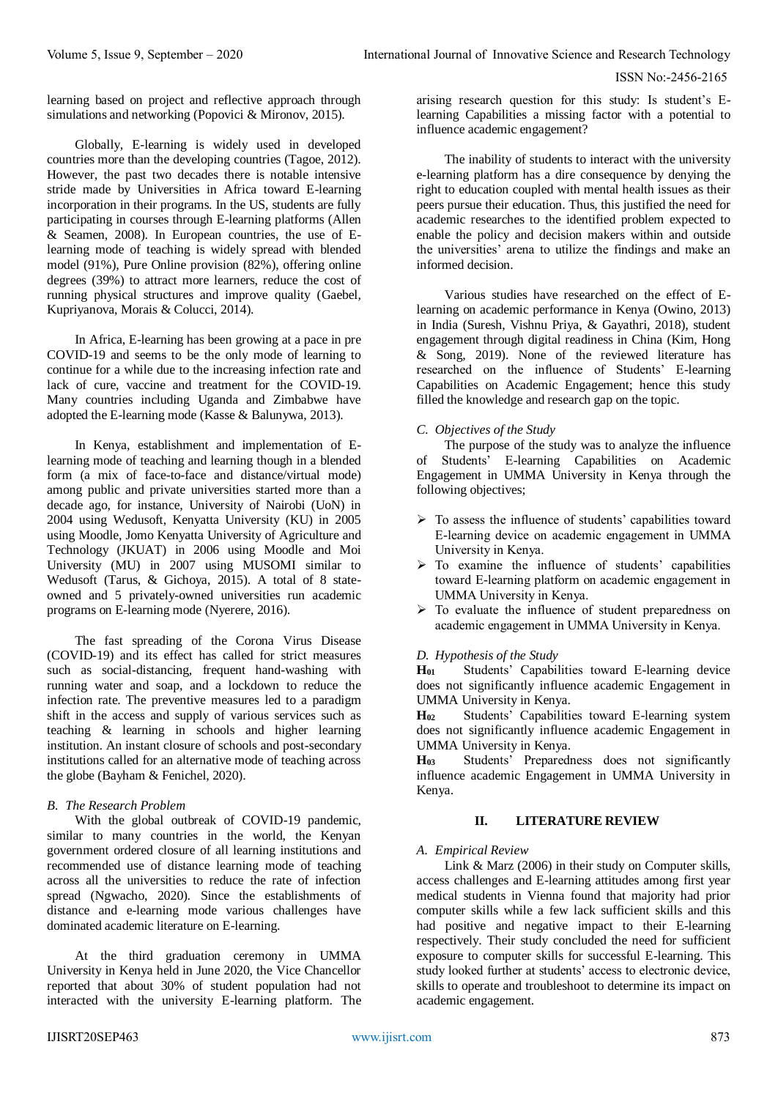learning based on project and reflective approach through simulations and networking (Popovici & Mironov, 2015).

Globally, E-learning is widely used in developed countries more than the developing countries (Tagoe, 2012). However, the past two decades there is notable intensive stride made by Universities in Africa toward E-learning incorporation in their programs. In the US, students are fully participating in courses through E-learning platforms (Allen & Seamen, 2008). In European countries, the use of Elearning mode of teaching is widely spread with blended model (91%), Pure Online provision (82%), offering online degrees (39%) to attract more learners, reduce the cost of running physical structures and improve quality (Gaebel, Kupriyanova, Morais & Colucci, 2014).

In Africa, E-learning has been growing at a pace in pre COVID-19 and seems to be the only mode of learning to continue for a while due to the increasing infection rate and lack of cure, vaccine and treatment for the COVID-19. Many countries including Uganda and Zimbabwe have adopted the E-learning mode (Kasse & Balunywa, 2013).

In Kenya, establishment and implementation of Elearning mode of teaching and learning though in a blended form (a mix of face-to-face and distance/virtual mode) among public and private universities started more than a decade ago, for instance, University of Nairobi (UoN) in 2004 using Wedusoft, Kenyatta University (KU) in 2005 using Moodle, Jomo Kenyatta University of Agriculture and Technology (JKUAT) in 2006 using Moodle and Moi University (MU) in 2007 using MUSOMI similar to Wedusoft (Tarus, & Gichoya, 2015). A total of 8 stateowned and 5 privately-owned universities run academic programs on E-learning mode (Nyerere, 2016).

The fast spreading of the Corona Virus Disease (COVID-19) and its effect has called for strict measures such as social-distancing, frequent hand-washing with running water and soap, and a lockdown to reduce the infection rate. The preventive measures led to a paradigm shift in the access and supply of various services such as teaching & learning in schools and higher learning institution. An instant closure of schools and post-secondary institutions called for an alternative mode of teaching across the globe (Bayham & Fenichel, 2020).

#### *B. The Research Problem*

With the global outbreak of COVID-19 pandemic, similar to many countries in the world, the Kenyan government ordered closure of all learning institutions and recommended use of distance learning mode of teaching across all the universities to reduce the rate of infection spread (Ngwacho, 2020). Since the establishments of distance and e-learning mode various challenges have dominated academic literature on E-learning.

At the third graduation ceremony in UMMA University in Kenya held in June 2020, the Vice Chancellor reported that about 30% of student population had not interacted with the university E-learning platform. The

arising research question for this study: Is student's Elearning Capabilities a missing factor with a potential to influence academic engagement?

The inability of students to interact with the university e-learning platform has a dire consequence by denying the right to education coupled with mental health issues as their peers pursue their education. Thus, this justified the need for academic researches to the identified problem expected to enable the policy and decision makers within and outside the universities' arena to utilize the findings and make an informed decision.

Various studies have researched on the effect of Elearning on academic performance in Kenya (Owino, 2013) in India (Suresh, Vishnu Priya, & Gayathri, 2018), student engagement through digital readiness in China (Kim, Hong & Song, 2019). None of the reviewed literature has researched on the influence of Students' E-learning Capabilities on Academic Engagement; hence this study filled the knowledge and research gap on the topic.

## *C. Objectives of the Study*

The purpose of the study was to analyze the influence of Students' E-learning Capabilities on Academic Engagement in UMMA University in Kenya through the following objectives;

- $\triangleright$  To assess the influence of students' capabilities toward E-learning device on academic engagement in UMMA University in Kenya.
- $\triangleright$  To examine the influence of students' capabilities toward E-learning platform on academic engagement in UMMA University in Kenya.
- > To evaluate the influence of student preparedness on academic engagement in UMMA University in Kenya.

#### *D. Hypothesis of the Study*

**H<sup>01</sup>** Students' Capabilities toward E-learning device does not significantly influence academic Engagement in UMMA University in Kenya.

**H<sup>02</sup>** Students' Capabilities toward E-learning system does not significantly influence academic Engagement in UMMA University in Kenya.

**H<sup>03</sup>** Students' Preparedness does not significantly influence academic Engagement in UMMA University in Kenya.

## **II. LITERATURE REVIEW**

#### *A. Empirical Review*

Link & Marz (2006) in their study on Computer skills, access challenges and E-learning attitudes among first year medical students in Vienna found that majority had prior computer skills while a few lack sufficient skills and this had positive and negative impact to their E-learning respectively. Their study concluded the need for sufficient exposure to computer skills for successful E-learning. This study looked further at students' access to electronic device, skills to operate and troubleshoot to determine its impact on academic engagement.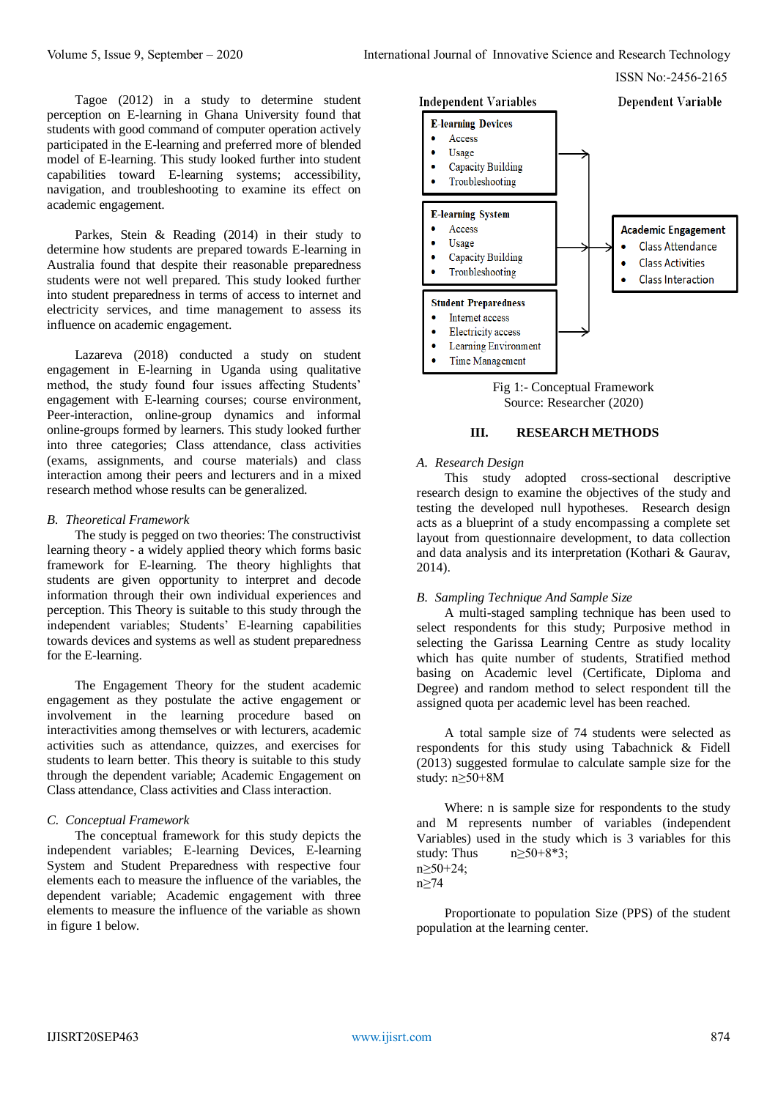Tagoe (2012) in a study to determine student perception on E-learning in Ghana University found that students with good command of computer operation actively participated in the E-learning and preferred more of blended model of E-learning. This study looked further into student capabilities toward E-learning systems; accessibility, navigation, and troubleshooting to examine its effect on academic engagement.

Parkes, Stein & Reading (2014) in their study to determine how students are prepared towards E-learning in Australia found that despite their reasonable preparedness students were not well prepared. This study looked further into student preparedness in terms of access to internet and electricity services, and time management to assess its influence on academic engagement.

Lazareva (2018) conducted a study on student engagement in E-learning in Uganda using qualitative method, the study found four issues affecting Students' engagement with E-learning courses; course environment, Peer-interaction, online-group dynamics and informal online-groups formed by learners. This study looked further into three categories; Class attendance, class activities (exams, assignments, and course materials) and class interaction among their peers and lecturers and in a mixed research method whose results can be generalized.

#### *B. Theoretical Framework*

The study is pegged on two theories: The constructivist learning theory - a widely applied theory which forms basic framework for E-learning. The theory highlights that students are given opportunity to interpret and decode information through their own individual experiences and perception. This Theory is suitable to this study through the independent variables; Students' E-learning capabilities towards devices and systems as well as student preparedness for the E-learning.

The Engagement Theory for the student academic engagement as they postulate the active engagement or involvement in the learning procedure based on interactivities among themselves or with lecturers, academic activities such as attendance, quizzes, and exercises for students to learn better. This theory is suitable to this study through the dependent variable; Academic Engagement on Class attendance, Class activities and Class interaction.

## *C. Conceptual Framework*

The conceptual framework for this study depicts the independent variables; E-learning Devices, E-learning System and Student Preparedness with respective four elements each to measure the influence of the variables, the dependent variable; Academic engagement with three elements to measure the influence of the variable as shown in figure 1 below.





#### **III. RESEARCH METHODS**

#### *A. Research Design*

This study adopted cross-sectional descriptive research design to examine the objectives of the study and testing the developed null hypotheses. Research design acts as a blueprint of a study encompassing a complete set layout from questionnaire development, to data collection and data analysis and its interpretation (Kothari & Gaurav, 2014).

# *B. Sampling Technique And Sample Size*

A multi-staged sampling technique has been used to select respondents for this study; Purposive method in selecting the Garissa Learning Centre as study locality which has quite number of students, Stratified method basing on Academic level (Certificate, Diploma and Degree) and random method to select respondent till the assigned quota per academic level has been reached.

A total sample size of 74 students were selected as respondents for this study using Tabachnick & Fidell (2013) suggested formulae to calculate sample size for the study: n≥50+8M

Where: n is sample size for respondents to the study and M represents number of variables (independent Variables) used in the study which is 3 variables for this study: Thus  $n \geq 50+8*3$ ; n≥50+24; n≥74

Proportionate to population Size (PPS) of the student population at the learning center.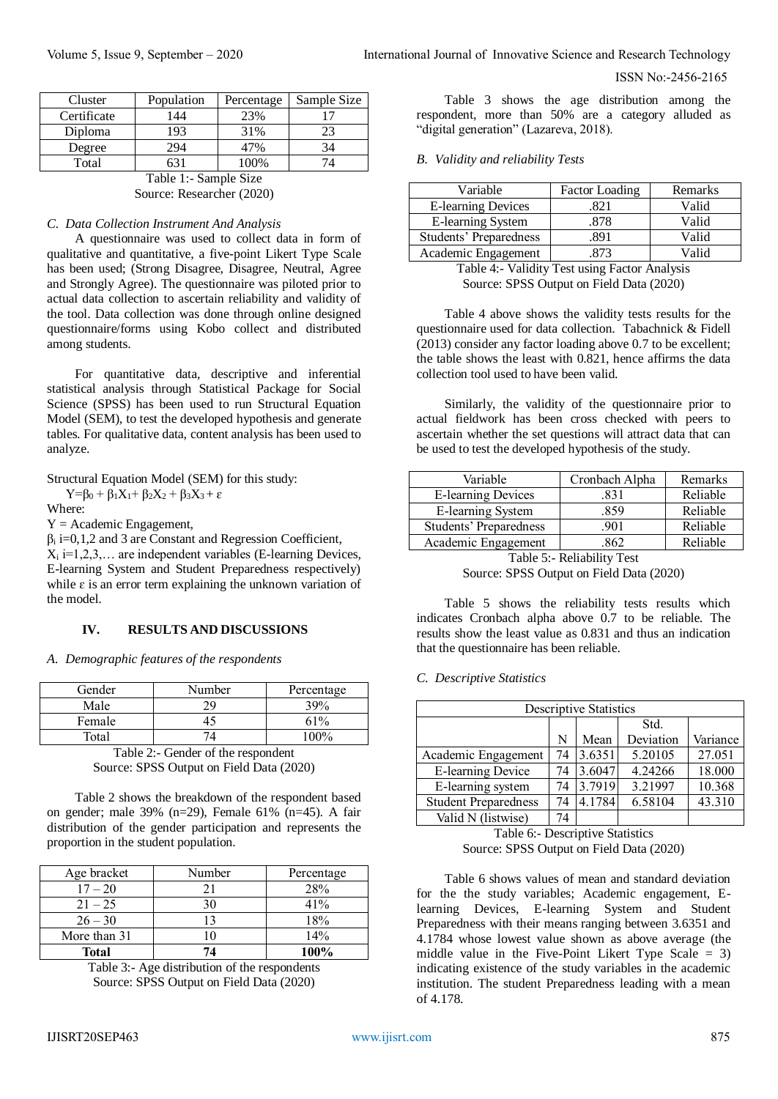| Cluster               | Population | Percentage | Sample Size |  |  |
|-----------------------|------------|------------|-------------|--|--|
| Certificate           | 144        | 23%        | 17          |  |  |
| Diploma               | 193        | 31%        | 23          |  |  |
| Degree                | 294        | 47%        | 34          |  |  |
| Total<br>100%<br>631  |            |            |             |  |  |
| Table 1:- Sample Size |            |            |             |  |  |

Source: Researcher (2020)

# *C. Data Collection Instrument And Analysis*

A questionnaire was used to collect data in form of qualitative and quantitative, a five-point Likert Type Scale has been used; (Strong Disagree, Disagree, Neutral, Agree and Strongly Agree). The questionnaire was piloted prior to actual data collection to ascertain reliability and validity of the tool. Data collection was done through online designed questionnaire/forms using Kobo collect and distributed among students.

For quantitative data, descriptive and inferential statistical analysis through Statistical Package for Social Science (SPSS) has been used to run Structural Equation Model (SEM), to test the developed hypothesis and generate tables. For qualitative data, content analysis has been used to analyze.

Structural Equation Model (SEM) for this study:

 $Y=\beta_0 + \beta_1X_1 + \beta_2X_2 + \beta_3X_3 + \varepsilon$ 

Where:

 $Y = Academic$  Engagement,

 $\beta_i$  i=0,1,2 and 3 are Constant and Regression Coefficient,  $X_i$  i=1,2,3,... are independent variables (E-learning Devices, E-learning System and Student Preparedness respectively) while  $\varepsilon$  is an error term explaining the unknown variation of the model.

#### **IV. RESULTS AND DISCUSSIONS**

#### *A. Demographic features of the respondents*

| Gender | Number | Percentage |
|--------|--------|------------|
| Male   | 2)     | 39%        |
| Female |        | 61%        |
| Total  |        | $00\%$     |

Table 2:- Gender of the respondent Source: SPSS Output on Field Data (2020)

Table 2 shows the breakdown of the respondent based on gender; male 39% (n=29), Female 61% (n=45). A fair distribution of the gender participation and represents the proportion in the student population.

| Age bracket  | Number | Percentage |
|--------------|--------|------------|
| $17 - 20$    | 21     | 28%        |
| $21 - 25$    | 30     | 41%        |
| $26 - 30$    | 13     | 18%        |
| More than 31 |        | 14%        |
| <b>Total</b> |        | 100%       |

Table 3:- Age distribution of the respondents Source: SPSS Output on Field Data (2020)

Table 3 shows the age distribution among the respondent, more than 50% are a category alluded as "digital generation" (Lazareva, 2018).

#### *B. Validity and reliability Tests*

| Variable                  | <b>Factor Loading</b> | Remarks |
|---------------------------|-----------------------|---------|
| <b>E-learning Devices</b> | 821                   | Valid   |
| <b>E-learning System</b>  | 878                   | Valid   |
| Students' Preparedness    | .891                  | Valid   |
| Academic Engagement       | 873                   | Valid   |

Table 4:- Validity Test using Factor Analysis Source: SPSS Output on Field Data (2020)

Table 4 above shows the validity tests results for the questionnaire used for data collection. Tabachnick & Fidell (2013) consider any factor loading above 0.7 to be excellent; the table shows the least with 0.821, hence affirms the data collection tool used to have been valid.

Similarly, the validity of the questionnaire prior to actual fieldwork has been cross checked with peers to ascertain whether the set questions will attract data that can be used to test the developed hypothesis of the study.

| Variable                  | Cronbach Alpha | Remarks  |
|---------------------------|----------------|----------|
| <b>E-learning Devices</b> | 831            | Reliable |
| E-learning System         | .859           | Reliable |
| Students' Preparedness    | .901           | Reliable |
| Academic Engagement       | 862            | Reliable |

Table 5:- Reliability Test Source: SPSS Output on Field Data (2020)

Table 5 shows the reliability tests results which indicates Cronbach alpha above 0.7 to be reliable. The results show the least value as 0.831 and thus an indication that the questionnaire has been reliable.

#### *C. Descriptive Statistics*

| <b>Descriptive Statistics</b> |    |        |           |          |  |  |
|-------------------------------|----|--------|-----------|----------|--|--|
|                               |    |        | Std.      |          |  |  |
|                               | N  | Mean   | Deviation | Variance |  |  |
| Academic Engagement           | 74 | 3.6351 | 5.20105   | 27.051   |  |  |
| E-learning Device             | 74 | 3.6047 | 4.24266   | 18.000   |  |  |
| E-learning system             | 74 | 3.7919 | 3.21997   | 10.368   |  |  |
| <b>Student Preparedness</b>   | 74 | 4.1784 | 6.58104   | 43.310   |  |  |
| Valid N (listwise)            | 74 |        |           |          |  |  |

Table 6:- Descriptive Statistics Source: SPSS Output on Field Data (2020)

Table 6 shows values of mean and standard deviation for the the study variables; Academic engagement, Elearning Devices, E-learning System and Student Preparedness with their means ranging between 3.6351 and 4.1784 whose lowest value shown as above average (the middle value in the Five-Point Likert Type Scale = 3) indicating existence of the study variables in the academic institution. The student Preparedness leading with a mean of 4.178.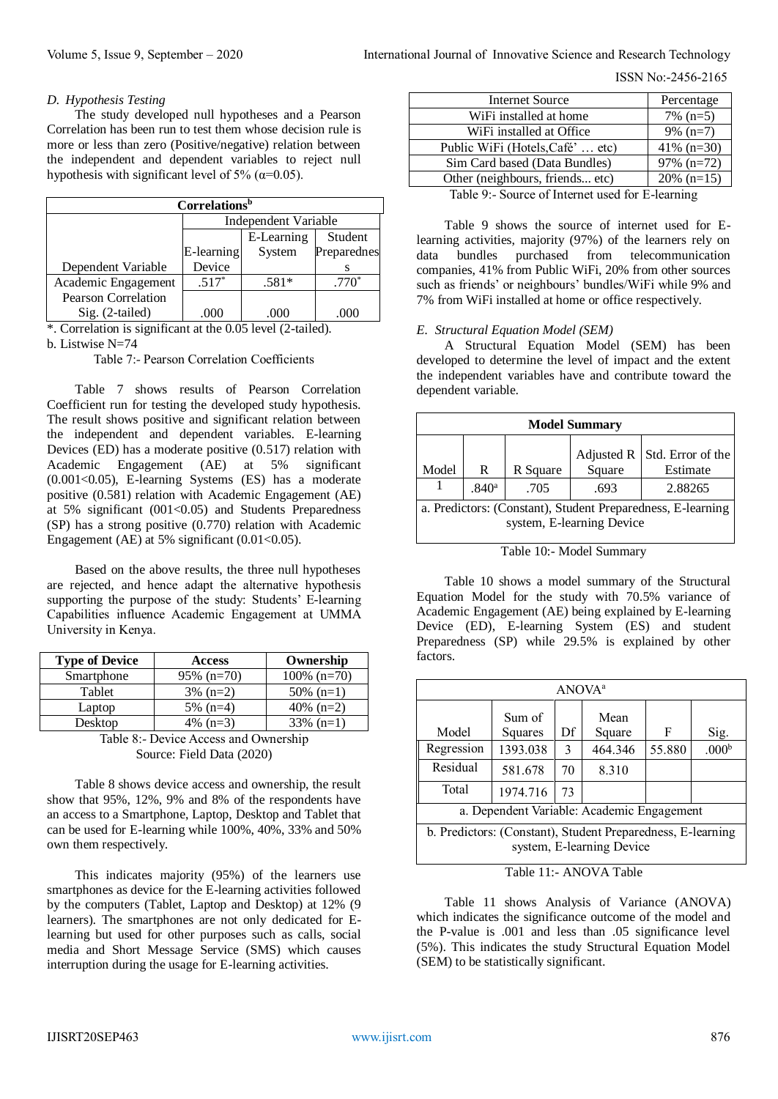ISSN No:-2456-2165

#### *D. Hypothesis Testing*

The study developed null hypotheses and a Pearson Correlation has been run to test them whose decision rule is more or less than zero (Positive/negative) relation between the independent and dependent variables to reject null hypothesis with significant level of 5% ( $\alpha$ =0.05).

| Correlations <sup>b</sup>  |                                     |         |          |  |  |  |
|----------------------------|-------------------------------------|---------|----------|--|--|--|
|                            | Independent Variable                |         |          |  |  |  |
|                            | E-Learning<br>Student               |         |          |  |  |  |
|                            | Preparednes<br>E-learning<br>System |         |          |  |  |  |
| Dependent Variable         | Device                              |         |          |  |  |  |
| Academic Engagement        | $.517*$                             | $.581*$ | $.770^*$ |  |  |  |
| <b>Pearson Correlation</b> |                                     |         |          |  |  |  |
| Sig. (2-tailed)            | 000                                 |         |          |  |  |  |

\*. Correlation is significant at the 0.05 level (2-tailed). b. Listwise N=74

Table 7:- Pearson Correlation Coefficients

Table 7 shows results of Pearson Correlation Coefficient run for testing the developed study hypothesis. The result shows positive and significant relation between the independent and dependent variables. E-learning Devices (ED) has a moderate positive (0.517) relation with Academic Engagement (AE) at 5% significant  $(0.001<0.05)$ , E-learning Systems (ES) has a moderate positive (0.581) relation with Academic Engagement (AE) at 5% significant  $(001<0.05)$  and Students Preparedness (SP) has a strong positive (0.770) relation with Academic Engagement (AE) at 5% significant  $(0.01<0.05)$ .

Based on the above results, the three null hypotheses are rejected, and hence adapt the alternative hypothesis supporting the purpose of the study: Students' E-learning Capabilities influence Academic Engagement at UMMA University in Kenya.

| <b>Type of Device</b> | <b>Access</b> | Ownership      |  |
|-----------------------|---------------|----------------|--|
| Smartphone            | $95\%$ (n=70) | $100\%$ (n=70) |  |
| Tablet                | $3\%$ (n=2)   | $50\%$ (n=1)   |  |
| Laptop                | $5\%$ (n=4)   | 40\% $(n=2)$   |  |
| Desktop               | 4\% $(n=3)$   | $33\%$ (n=1)   |  |

| Table 8:- Device Access and Ownership |
|---------------------------------------|
| Source: Field Data (2020)             |

Table 8 shows device access and ownership, the result show that 95%, 12%, 9% and 8% of the respondents have an access to a Smartphone, Laptop, Desktop and Tablet that can be used for E-learning while 100%, 40%, 33% and 50% own them respectively.

This indicates majority (95%) of the learners use smartphones as device for the E-learning activities followed by the computers (Tablet, Laptop and Desktop) at 12% (9 learners). The smartphones are not only dedicated for Elearning but used for other purposes such as calls, social media and Short Message Service (SMS) which causes interruption during the usage for E-learning activities.

| <b>Internet Source</b>                                                                    | Percentage    |
|-------------------------------------------------------------------------------------------|---------------|
| WiFi installed at home                                                                    | $7\%$ (n=5)   |
| WiFi installed at Office                                                                  | $9\%$ (n=7)   |
| Public WiFi (Hotels, Café'  etc)                                                          | 41% $(n=30)$  |
| Sim Card based (Data Bundles)                                                             | $97\%$ (n=72) |
| Other (neighbours, friends etc)                                                           | $20\%$ (n=15) |
| $T_{\rm eff}$ $\sim$ 0. Course of Literature of $\sim$ $T_{\rm eff}$ $\sim$ $T_{\rm eff}$ |               |

Table 9:- Source of Internet used for E-learning

Table 9 shows the source of internet used for Elearning activities, majority (97%) of the learners rely on data bundles purchased from telecommunication companies, 41% from Public WiFi, 20% from other sources such as friends' or neighbours' bundles/WiFi while 9% and 7% from WiFi installed at home or office respectively.

# *E. Structural Equation Model (SEM)*

A Structural Equation Model (SEM) has been developed to determine the level of impact and the extent the independent variables have and contribute toward the dependent variable.

| <b>Model Summary</b>                                                                     |                   |      |      |         |  |  |  |
|------------------------------------------------------------------------------------------|-------------------|------|------|---------|--|--|--|
| Std. Error of the<br>Adjusted R<br>Square<br>Estimate<br>Model<br>R Square<br>R          |                   |      |      |         |  |  |  |
|                                                                                          | .840 <sup>a</sup> | .705 | .693 | 2.88265 |  |  |  |
| a. Predictors: (Constant), Student Preparedness, E-learning<br>system, E-learning Device |                   |      |      |         |  |  |  |

Table 10:- Model Summary

Table 10 shows a model summary of the Structural Equation Model for the study with 70.5% variance of Academic Engagement (AE) being explained by E-learning Device (ED), E-learning System (ES) and student Preparedness (SP) while 29.5% is explained by other factors.

|                                                                 | ANOVA <sup>a</sup>                                                                       |          |    |         |        |                   |
|-----------------------------------------------------------------|------------------------------------------------------------------------------------------|----------|----|---------|--------|-------------------|
| Sum of<br>Mean<br>Model<br>Df<br>F<br>Squares<br>Square<br>Sig. |                                                                                          |          |    |         |        |                   |
|                                                                 | Regression                                                                               | 1393.038 | 3  | 464.346 | 55.880 | .000 <sup>b</sup> |
|                                                                 | Residual                                                                                 | 581.678  | 70 | 8.310   |        |                   |
|                                                                 | Total                                                                                    | 1974.716 | 73 |         |        |                   |
|                                                                 | a. Dependent Variable: Academic Engagement                                               |          |    |         |        |                   |
|                                                                 | b. Predictors: (Constant), Student Preparedness, E-learning<br>system, E-learning Device |          |    |         |        |                   |

Table 11:- ANOVA Table

Table 11 shows Analysis of Variance (ANOVA) which indicates the significance outcome of the model and the P-value is .001 and less than .05 significance level (5%). This indicates the study Structural Equation Model (SEM) to be statistically significant.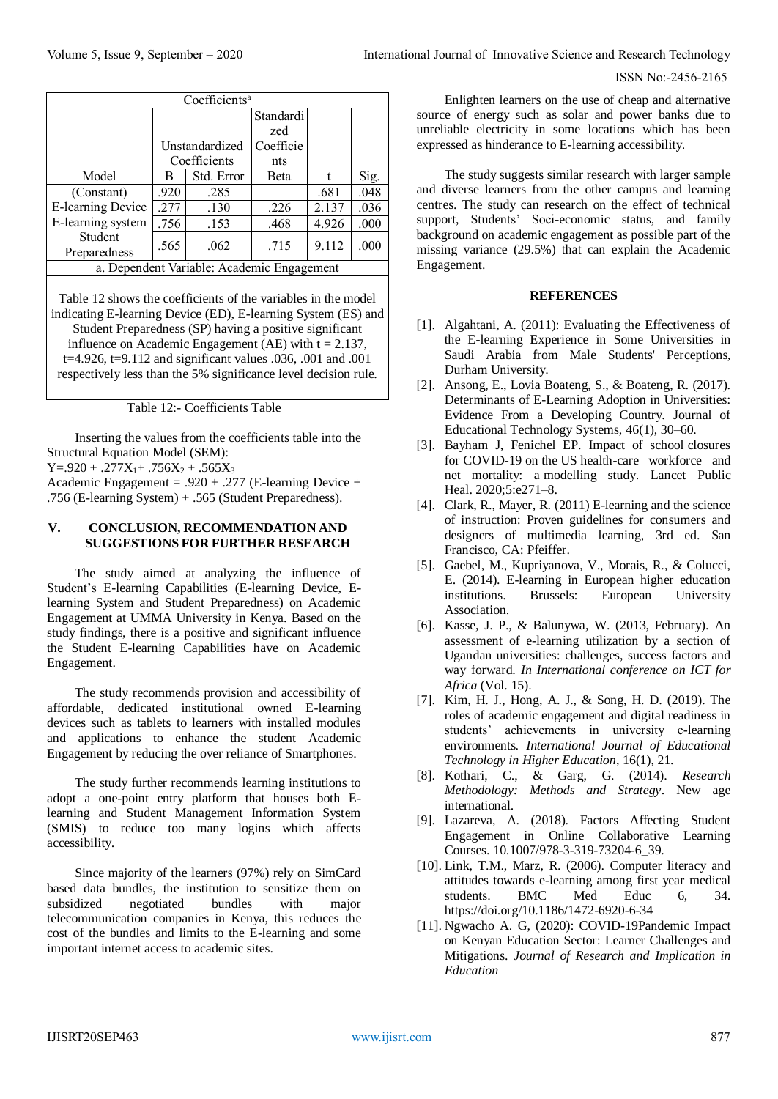| Coefficients <sup>a</sup>                                     |                |            |              |       |      |
|---------------------------------------------------------------|----------------|------------|--------------|-------|------|
|                                                               |                |            | Standardi    |       |      |
|                                                               |                |            | zed          |       |      |
|                                                               | Unstandardized |            | Coefficie    |       |      |
|                                                               | Coefficients   |            | nts          |       |      |
| Model                                                         | В              | Std. Error | <b>B</b> eta | t     | Sig. |
| (Constant)                                                    | .920           | .285       |              | .681  | .048 |
| E-learning Device                                             | .277           | .130       | .226         | 2.137 | .036 |
| E-learning system                                             | .756           | .153       | .468         | 4.926 | .000 |
| Student<br>Preparedness                                       | .565           | .062       | .715         | 9.112 | .000 |
| a. Dependent Variable: Academic Engagement                    |                |            |              |       |      |
| Table 12 shows the coefficients of the variables in the model |                |            |              |       |      |

indicating E-learning Device (ED), E-learning System (ES) and Student Preparedness (SP) having a positive significant influence on Academic Engagement (AE) with  $t = 2.137$ , t=4.926, t=9.112 and significant values .036, .001 and .001 respectively less than the 5% significance level decision rule.

Table 12:- Coefficients Table

Inserting the values from the coefficients table into the Structural Equation Model (SEM):  $Y = .920 + .277X_1 + .756X_2 + .565X_3$ 

Academic Engagement =  $.920 + .277$  (E-learning Device + .756 (E-learning System) + .565 (Student Preparedness).

## **V. CONCLUSION, RECOMMENDATION AND SUGGESTIONS FOR FURTHER RESEARCH**

The study aimed at analyzing the influence of Student's E-learning Capabilities (E-learning Device, Elearning System and Student Preparedness) on Academic Engagement at UMMA University in Kenya. Based on the study findings, there is a positive and significant influence the Student E-learning Capabilities have on Academic Engagement.

The study recommends provision and accessibility of affordable, dedicated institutional owned E-learning devices such as tablets to learners with installed modules and applications to enhance the student Academic Engagement by reducing the over reliance of Smartphones.

The study further recommends learning institutions to adopt a one-point entry platform that houses both Elearning and Student Management Information System (SMIS) to reduce too many logins which affects accessibility.

Since majority of the learners (97%) rely on SimCard based data bundles, the institution to sensitize them on subsidized negotiated bundles with major telecommunication companies in Kenya, this reduces the cost of the bundles and limits to the E-learning and some important internet access to academic sites.

Enlighten learners on the use of cheap and alternative source of energy such as solar and power banks due to unreliable electricity in some locations which has been expressed as hinderance to E-learning accessibility.

The study suggests similar research with larger sample and diverse learners from the other campus and learning centres. The study can research on the effect of technical support, Students' Soci-economic status, and family background on academic engagement as possible part of the missing variance (29.5%) that can explain the Academic Engagement.

## **REFERENCES**

- [1]. Algahtani, A. (2011): Evaluating the Effectiveness of the E-learning Experience in Some Universities in Saudi Arabia from Male Students' Perceptions, Durham University.
- [2]. Ansong, E., Lovia Boateng, S., & Boateng, R. (2017). Determinants of E-Learning Adoption in Universities: Evidence From a Developing Country. Journal of Educational Technology Systems, 46(1), 30–60.
- [3]. Bayham J, Fenichel EP. Impact of school closures for COVID-19 on the US health-care workforce and net mortality: a modelling study. Lancet Public Heal. 2020;5:e271–8.
- [4]. Clark, R., Mayer, R. (2011) E-learning and the science of instruction: Proven guidelines for consumers and designers of multimedia learning, 3rd ed. San Francisco, CA: Pfeiffer.
- [5]. Gaebel, M., Kupriyanova, V., Morais, R., & Colucci, E. (2014). E-learning in European higher education institutions. Brussels: European University Association.
- [6]. Kasse, J. P., & Balunywa, W. (2013, February). An assessment of e-learning utilization by a section of Ugandan universities: challenges, success factors and way forward. *In International conference on ICT for Africa* (Vol. 15).
- [7]. Kim, H. J., Hong, A. J., & Song, H. D. (2019). The roles of academic engagement and digital readiness in students' achievements in university e-learning environments. *International Journal of Educational Technology in Higher Education*, 16(1), 21.
- [8]. Kothari, C., & Garg, G. (2014). *Research Methodology: Methods and Strategy*. New age international.
- [9]. Lazareva, A. (2018). Factors Affecting Student Engagement in Online Collaborative Learning Courses. 10.1007/978-3-319-73204-6\_39.
- [10]. Link, T.M., Marz, R. (2006). Computer literacy and attitudes towards e-learning among first year medical students. BMC Med Educ 6, 34. <https://doi.org/10.1186/1472-6920-6-34>
- [11]. Ngwacho A. G, (2020): COVID-19Pandemic Impact on Kenyan Education Sector: Learner Challenges and Mitigations. *Journal of Research and Implication in Education*